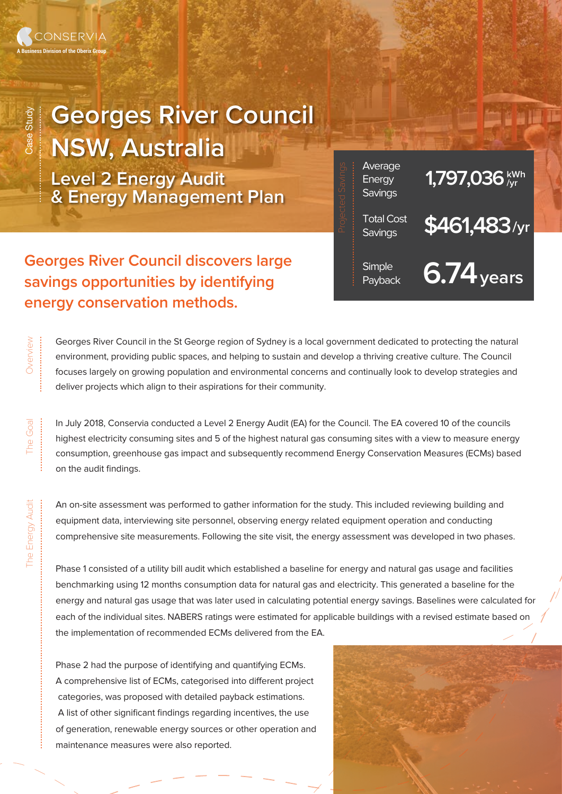

......................................

## **Georges River Council NSW, Australia**

**Level 2 Energy Audit & Energy Management Plan**

**Georges River Council discovers large savings opportunities by identifying energy conservation methods.**

Georges River Council in the St George region of Sydney is a local government dedicated to protecting the natural environment, providing public spaces, and helping to sustain and develop a thriving creative culture. The Council focuses largely on growing population and environmental concerns and continually look to develop strategies and deliver projects which align to their aspirations for their community.

In July 2018, Conservia conducted a Level 2 Energy Audit (EA) for the Council. The EA covered 10 of the councils highest electricity consuming sites and 5 of the highest natural gas consuming sites with a view to measure energy consumption, greenhouse gas impact and subsequently recommend Energy Conservation Measures (ECMs) based on the audit findings.

An on-site assessment was performed to gather information for the study. This included reviewing building and equipment data, interviewing site personnel, observing energy related equipment operation and conducting comprehensive site measurements. Following the site visit, the energy assessment was developed in two phases.

Phase 1 consisted of a utility bill audit which established a baseline for energy and natural gas usage and facilities benchmarking using 12 months consumption data for natural gas and electricity. This generated a baseline for the energy and natural gas usage that was later used in calculating potential energy savings. Baselines were calculated for each of the individual sites. NABERS ratings were estimated for applicable buildings with a revised estimate based on the implementation of recommended ECMs delivered from the EA.

Phase 2 had the purpose of identifying and quantifying ECMs. A comprehensive list of ECMs, categorised into different project categories, was proposed with detailed payback estimations. A list of other significant findings regarding incentives, the use of generation, renewable energy sources or other operation and maintenance measures were also reported.



<sup>Total Cost</sup> \$461,483/yr

Average **1,797,036** k<sup>wh</sup><br>Energy **1,797,036** kwh

si<sub>mple</sub> **6.74** years

**Savings** 

.................................................

**Energy Savings** 

**Simple** 

The Goal

The Energy Audit

The I

Energy Audit

..................................................................................................

......................